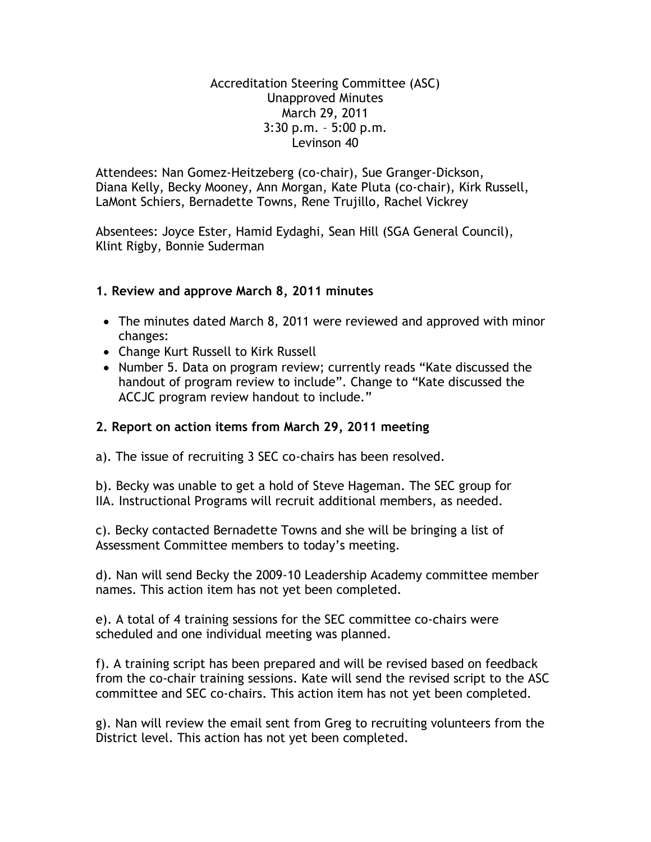Accreditation Steering Committee (ASC) Unapproved Minutes March 29, 2011 3:30 p.m. – 5:00 p.m. Levinson 40

Attendees: Nan Gomez-Heitzeberg (co-chair), Sue Granger-Dickson, Diana Kelly, Becky Mooney, Ann Morgan, Kate Pluta (co-chair), Kirk Russell, LaMont Schiers, Bernadette Towns, Rene Trujillo, Rachel Vickrey

Absentees: Joyce Ester, Hamid Eydaghi, Sean Hill (SGA General Council), Klint Rigby, Bonnie Suderman

# **1. Review and approve March 8, 2011 minutes**

- The minutes dated March 8, 2011 were reviewed and approved with minor changes:
- Change Kurt Russell to Kirk Russell
- Number 5. Data on program review; currently reads "Kate discussed the handout of program review to include". Change to "Kate discussed the ACCJC program review handout to include."

# **2. Report on action items from March 29, 2011 meeting**

a). The issue of recruiting 3 SEC co-chairs has been resolved.

b). Becky was unable to get a hold of Steve Hageman. The SEC group for IIA. Instructional Programs will recruit additional members, as needed.

c). Becky contacted Bernadette Towns and she will be bringing a list of Assessment Committee members to today"s meeting.

d). Nan will send Becky the 2009-10 Leadership Academy committee member names. This action item has not yet been completed.

e). A total of 4 training sessions for the SEC committee co-chairs were scheduled and one individual meeting was planned.

f). A training script has been prepared and will be revised based on feedback from the co-chair training sessions. Kate will send the revised script to the ASC committee and SEC co-chairs. This action item has not yet been completed.

g). Nan will review the email sent from Greg to recruiting volunteers from the District level. This action has not yet been completed.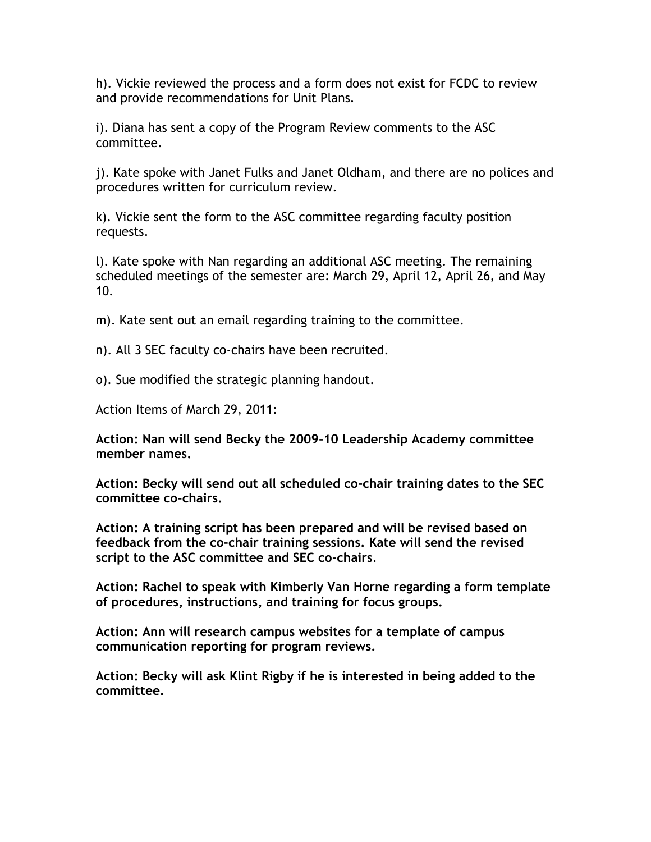h). Vickie reviewed the process and a form does not exist for FCDC to review and provide recommendations for Unit Plans.

i). Diana has sent a copy of the Program Review comments to the ASC committee.

j). Kate spoke with Janet Fulks and Janet Oldham, and there are no polices and procedures written for curriculum review.

k). Vickie sent the form to the ASC committee regarding faculty position requests.

l). Kate spoke with Nan regarding an additional ASC meeting. The remaining scheduled meetings of the semester are: March 29, April 12, April 26, and May 10.

m). Kate sent out an email regarding training to the committee.

n). All 3 SEC faculty co-chairs have been recruited.

o). Sue modified the strategic planning handout.

Action Items of March 29, 2011:

**Action: Nan will send Becky the 2009-10 Leadership Academy committee member names.**

**Action: Becky will send out all scheduled co-chair training dates to the SEC committee co-chairs.**

**Action: A training script has been prepared and will be revised based on feedback from the co-chair training sessions. Kate will send the revised script to the ASC committee and SEC co-chairs**.

**Action: Rachel to speak with Kimberly Van Horne regarding a form template of procedures, instructions, and training for focus groups.**

**Action: Ann will research campus websites for a template of campus communication reporting for program reviews.**

**Action: Becky will ask Klint Rigby if he is interested in being added to the committee.**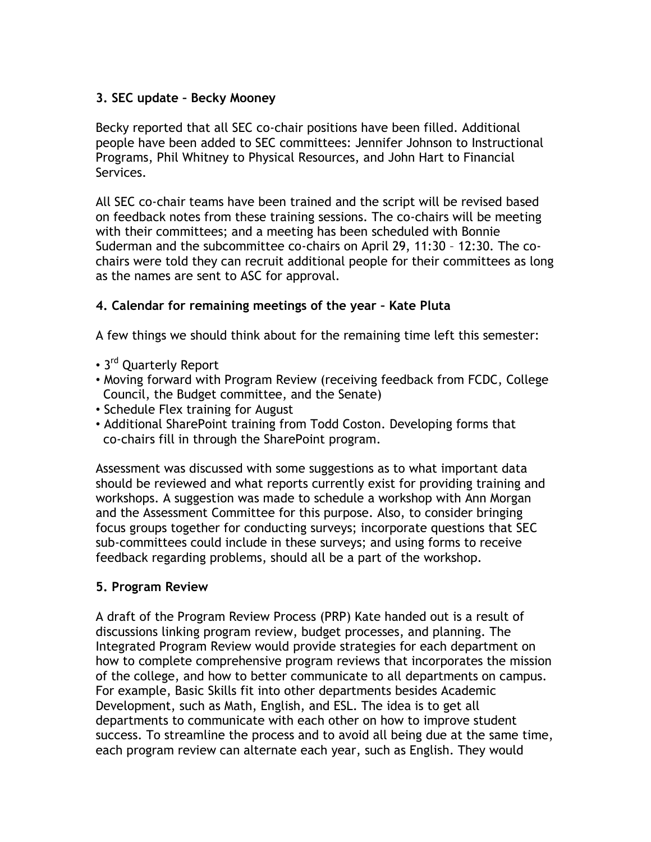# **3. SEC update – Becky Mooney**

Becky reported that all SEC co-chair positions have been filled. Additional people have been added to SEC committees: Jennifer Johnson to Instructional Programs, Phil Whitney to Physical Resources, and John Hart to Financial Services.

All SEC co-chair teams have been trained and the script will be revised based on feedback notes from these training sessions. The co-chairs will be meeting with their committees; and a meeting has been scheduled with Bonnie Suderman and the subcommittee co-chairs on April 29, 11:30 – 12:30. The cochairs were told they can recruit additional people for their committees as long as the names are sent to ASC for approval.

# **4. Calendar for remaining meetings of the year – Kate Pluta**

A few things we should think about for the remaining time left this semester:

- 3<sup>rd</sup> Quarterly Report
- Moving forward with Program Review (receiving feedback from FCDC, College Council, the Budget committee, and the Senate)
- Schedule Flex training for August
- Additional SharePoint training from Todd Coston. Developing forms that co-chairs fill in through the SharePoint program.

Assessment was discussed with some suggestions as to what important data should be reviewed and what reports currently exist for providing training and workshops. A suggestion was made to schedule a workshop with Ann Morgan and the Assessment Committee for this purpose. Also, to consider bringing focus groups together for conducting surveys; incorporate questions that SEC sub-committees could include in these surveys; and using forms to receive feedback regarding problems, should all be a part of the workshop.

#### **5. Program Review**

A draft of the Program Review Process (PRP) Kate handed out is a result of discussions linking program review, budget processes, and planning. The Integrated Program Review would provide strategies for each department on how to complete comprehensive program reviews that incorporates the mission of the college, and how to better communicate to all departments on campus. For example, Basic Skills fit into other departments besides Academic Development, such as Math, English, and ESL. The idea is to get all departments to communicate with each other on how to improve student success. To streamline the process and to avoid all being due at the same time, each program review can alternate each year, such as English. They would